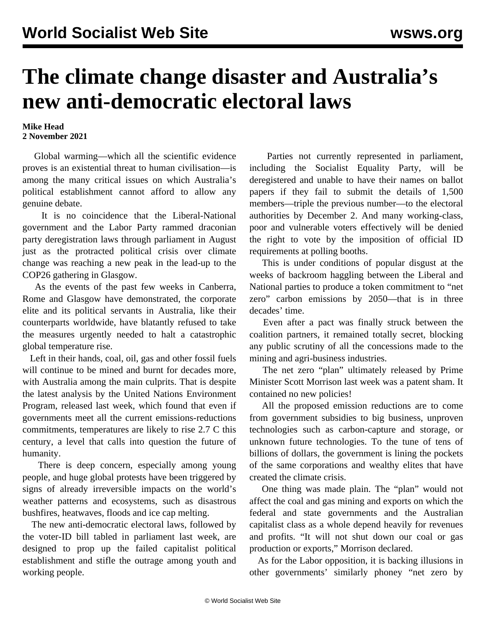## **The climate change disaster and Australia's new anti-democratic electoral laws**

## **Mike Head 2 November 2021**

 Global warming—which all the scientific evidence proves is an existential threat to human civilisation—is among the many critical issues on which Australia's political establishment cannot afford to allow any genuine debate.

 It is no coincidence that the Liberal-National government and the Labor Party rammed draconian party deregistration laws through parliament in August just as the protracted political crisis over climate change was reaching a new peak in the lead-up to the COP26 gathering in Glasgow.

 As the events of the past few weeks in Canberra, Rome and Glasgow have demonstrated, the corporate elite and its political servants in Australia, like their counterparts worldwide, have blatantly refused to take the measures urgently needed to halt a catastrophic global temperature rise.

 Left in their hands, coal, oil, gas and other fossil fuels will continue to be mined and burnt for decades more, with Australia among the main culprits. That is despite the latest analysis by the United Nations Environment Program, released last week, which found that even if governments meet all the current emissions-reductions commitments, temperatures are likely to rise 2.7 C this century, a level that calls into question the future of humanity.

 There is deep concern, especially among young people, and huge global protests have been triggered by signs of already irreversible impacts on the world's weather patterns and ecosystems, such as disastrous bushfires, heatwaves, floods and ice cap melting.

 The new anti-democratic electoral laws, followed by the [voter-ID bill](/en/articles/2021/10/30/elec-o30.html) tabled in parliament last week, are designed to prop up the failed capitalist political establishment and stifle the outrage among youth and working people.

 Parties not currently represented in parliament, including the Socialist Equality Party, will be deregistered and unable to have their names on ballot papers if they fail to submit the details of 1,500 members—triple the previous number—to the electoral authorities by December 2. And many working-class, poor and vulnerable voters effectively will be denied the right to vote by the imposition of official ID requirements at polling booths.

 This is under conditions of popular disgust at the weeks of backroom haggling between the Liberal and National parties to produce a token commitment to "net zero" carbon emissions by 2050—that is in three decades' time.

 Even after a pact was finally struck between the coalition partners, it remained totally [secret,](/en/articles/2021/10/27/morr-o27.html) blocking any public scrutiny of all the concessions made to the mining and agri-business industries.

 The net zero "plan" ultimately released by Prime Minister Scott Morrison last week was a patent sham. It contained no new policies!

 All the proposed emission reductions are to come from government subsidies to big business, unproven technologies such as carbon-capture and storage, or unknown future technologies. To the tune of tens of billions of dollars, the government is [lining the pockets](/en/articles/2021/10/27/netz-o27.html) of the same corporations and wealthy elites that have created the climate crisis.

 One thing was made plain. The "plan" would not affect the coal and gas mining and exports on which the federal and state governments and the Australian capitalist class as a whole depend heavily for revenues and profits. "It will not shut down our coal or gas production or exports," Morrison declared.

 As for the Labor opposition, it is backing illusions in other governments' similarly phoney "net zero by